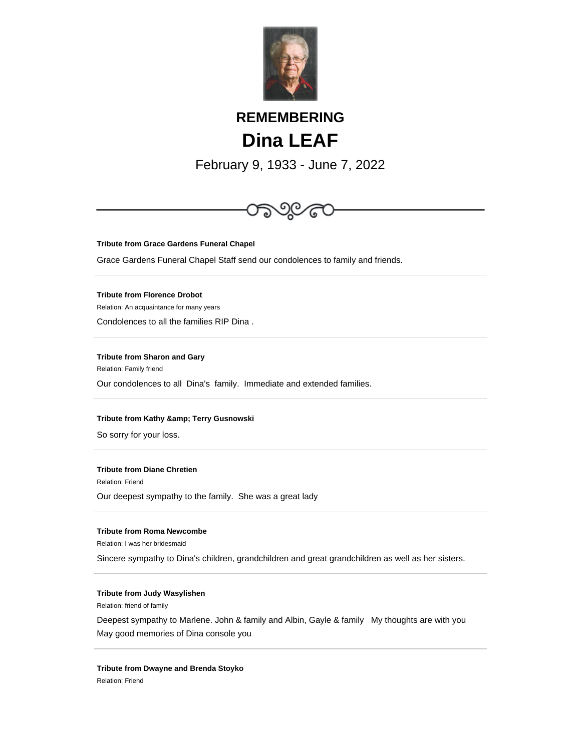

# **REMEMBERING Dina LEAF**

February 9, 1933 - June 7, 2022



**Tribute from Grace Gardens Funeral Chapel**

Grace Gardens Funeral Chapel Staff send our condolences to family and friends.

**Tribute from Florence Drobot**

Relation: An acquaintance for many years

Condolences to all the families RIP Dina .

**Tribute from Sharon and Gary**

Relation: Family friend

Our condolences to all Dina's family. Immediate and extended families.

## **Tribute from Kathy & amp; Terry Gusnowski**

So sorry for your loss.

# **Tribute from Diane Chretien**

Relation: Friend

Our deepest sympathy to the family. She was a great lady

# **Tribute from Roma Newcombe**

Relation: I was her bridesmaid

Sincere sympathy to Dina's children, grandchildren and great grandchildren as well as her sisters.

# **Tribute from Judy Wasylishen**

Relation: friend of family

Deepest sympathy to Marlene. John & family and Albin, Gayle & family My thoughts are with you May good memories of Dina console you

## **Tribute from Dwayne and Brenda Stoyko**

Relation: Friend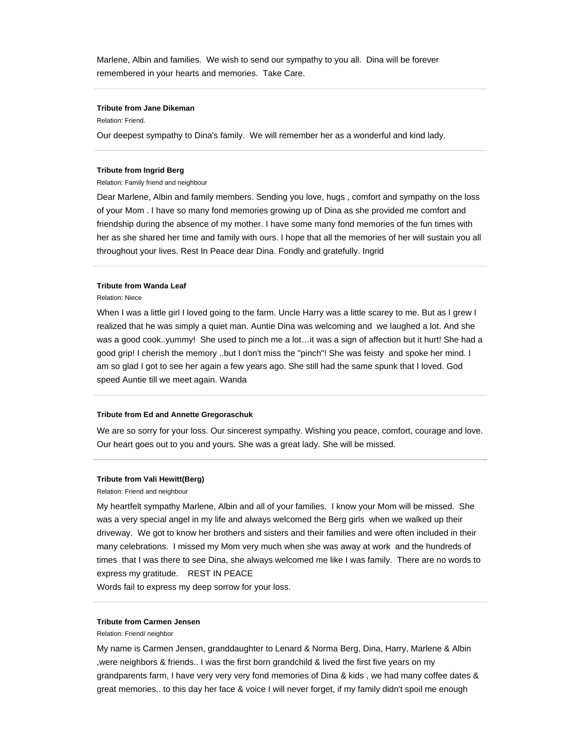Marlene, Albin and families. We wish to send our sympathy to you all. Dina will be forever remembered in your hearts and memories. Take Care.

## **Tribute from Jane Dikeman**

#### Relation: Friend.

Our deepest sympathy to Dina's family. We will remember her as a wonderful and kind lady.

#### **Tribute from Ingrid Berg**

Relation: Family friend and neighbour

Dear Marlene, Albin and family members. Sending you love, hugs , comfort and sympathy on the loss of your Mom . I have so many fond memories growing up of Dina as she provided me comfort and friendship during the absence of my mother. I have some many fond memories of the fun times with her as she shared her time and family with ours. I hope that all the memories of her will sustain you all throughout your lives. Rest In Peace dear Dina. Fondly and gratefully. Ingrid

## **Tribute from Wanda Leaf**

Relation: Niece

When I was a little girl I loved going to the farm. Uncle Harry was a little scarey to me. But as I grew I realized that he was simply a quiet man. Auntie Dina was welcoming and we laughed a lot. And she was a good cook..yummy! She used to pinch me a lot…it was a sign of affection but it hurt! She had a good grip! I cherish the memory ..but I don't miss the "pinch"! She was feisty and spoke her mind. I am so glad I got to see her again a few years ago. She still had the same spunk that I loved. God speed Auntie till we meet again. Wanda

#### **Tribute from Ed and Annette Gregoraschuk**

We are so sorry for your loss. Our sincerest sympathy. Wishing you peace, comfort, courage and love. Our heart goes out to you and yours. She was a great lady. She will be missed.

#### **Tribute from Vali Hewitt(Berg)**

Relation: Friend and neighbour

My heartfelt sympathy Marlene, Albin and all of your families. I know your Mom will be missed. She was a very special angel in my life and always welcomed the Berg girls when we walked up their driveway. We got to know her brothers and sisters and their families and were often included in their many celebrations. I missed my Mom very much when she was away at work and the hundreds of times that I was there to see Dina, she always welcomed me like I was family. There are no words to express my gratitude. REST IN PEACE

Words fail to express my deep sorrow for your loss.

### **Tribute from Carmen Jensen**

Relation: Friend/ neighbor

My name is Carmen Jensen, granddaughter to Lenard & Norma Berg, Dina, Harry, Marlene & Albin ,were neighbors & friends.. I was the first born grandchild & lived the first five years on my grandparents farm, I have very very very fond memories of Dina & kids , we had many coffee dates & great memories.. to this day her face & voice I will never forget, if my family didn't spoil me enough